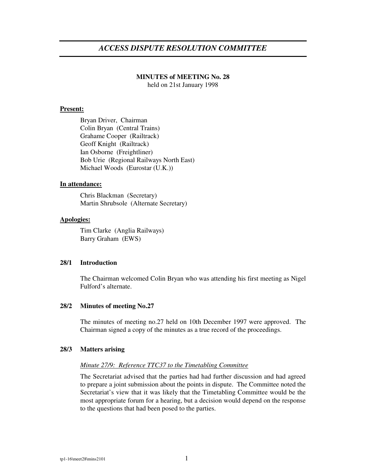# *ACCESS DISPUTE RESOLUTION COMMITTEE*

## **MINUTES of MEETING No. 28**

held on 21st January 1998

### **Present:**

Bryan Driver, Chairman Colin Bryan (Central Trains) Grahame Cooper (Railtrack) Geoff Knight (Railtrack) Ian Osborne (Freightliner) Bob Urie (Regional Railways North East) Michael Woods (Eurostar (U.K.))

## **In attendance:**

Chris Blackman (Secretary) Martin Shrubsole (Alternate Secretary)

### **Apologies:**

Tim Clarke (Anglia Railways) Barry Graham (EWS)

### **28/1 Introduction**

The Chairman welcomed Colin Bryan who was attending his first meeting as Nigel Fulford's alternate.

### **28/2 Minutes of meeting No.27**

The minutes of meeting no.27 held on 10th December 1997 were approved. The Chairman signed a copy of the minutes as a true record of the proceedings.

### **28/3 Matters arising**

### *Minute 27/9: Reference TTC37 to the Timetabling Committee*

The Secretariat advised that the parties had had further discussion and had agreed to prepare a joint submission about the points in dispute. The Committee noted the Secretariat's view that it was likely that the Timetabling Committee would be the most appropriate forum for a hearing, but a decision would depend on the response to the questions that had been posed to the parties.